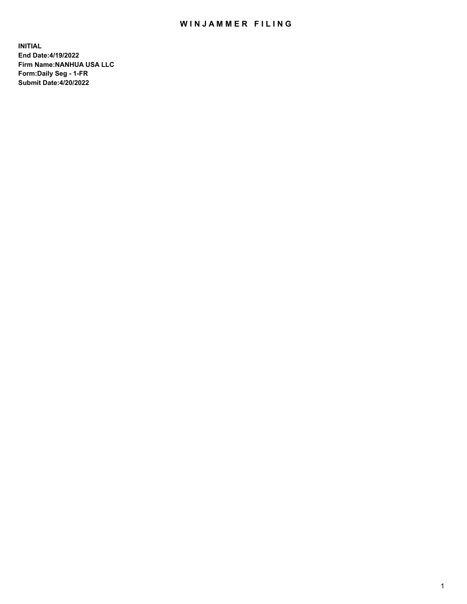# WIN JAMMER FILING

**INITIAL End Date:4/19/2022 Firm Name:NANHUA USA LLC Form:Daily Seg - 1-FR Submit Date:4/20/2022**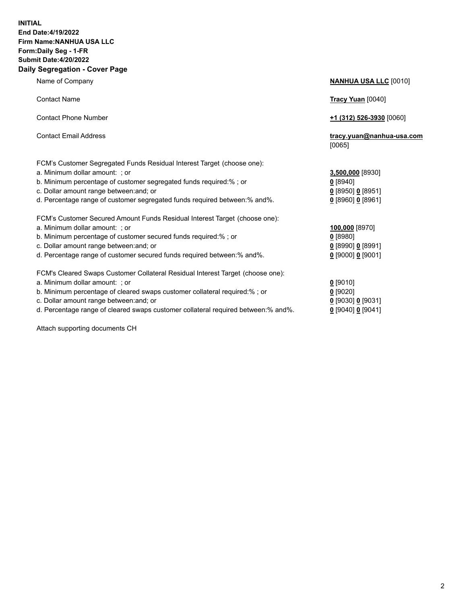### **INITIAL End Date:4/19/2022 Firm Name:NANHUA USA LLC Form:Daily Seg - 1-FR Submit Date:4/20/2022 Daily Segregation - Cover Page**

Name of Company **NANHUA USA LLC** [0010] Contact Name **Tracy Yuan** [0040] Contact Phone Number **+1 (312) 526-3930** [0060] Contact Email Address **tracy.yuan@nanhua-usa.com** [0065] FCM's Customer Segregated Funds Residual Interest Target (choose one): a. Minimum dollar amount: ; or **3,500,000** [8930] b. Minimum percentage of customer segregated funds required:% ; or **0** [8940] c. Dollar amount range between:and; or **0** [8950] **0** [8951] d. Percentage range of customer segregated funds required between:% and%. **0** [8960] **0** [8961] FCM's Customer Secured Amount Funds Residual Interest Target (choose one): a. Minimum dollar amount: ; or **100,000** [8970] b. Minimum percentage of customer secured funds required:% ; or **0** [8980] c. Dollar amount range between:and; or **0** [8990] **0** [8991] d. Percentage range of customer secured funds required between:% and%. **0** [9000] **0** [9001] FCM's Cleared Swaps Customer Collateral Residual Interest Target (choose one): a. Minimum dollar amount: ; or **0** [9010] b. Minimum percentage of cleared swaps customer collateral required:% ; or **0** [9020] c. Dollar amount range between:and; or **0** [9030] **0** [9031] d. Percentage range of cleared swaps customer collateral required between:% and%. **0** [9040] **0** [9041]

Attach supporting documents CH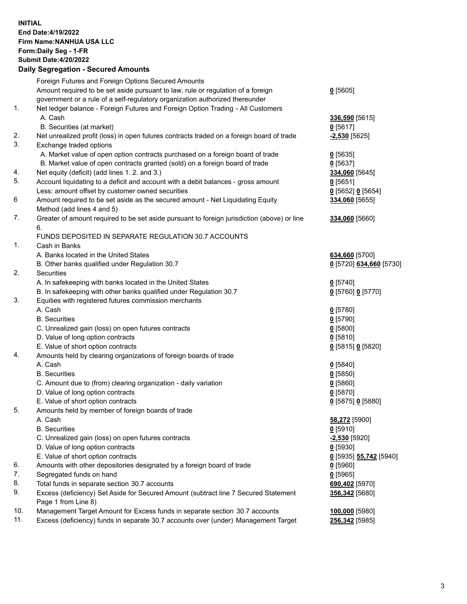**INITIAL End Date:4/19/2022 Firm Name:NANHUA USA LLC Form:Daily Seg - 1-FR Submit Date:4/20/2022**

### **Daily Segregation - Secured Amounts**

|     | Foreign Futures and Foreign Options Secured Amounts                                         |                                      |
|-----|---------------------------------------------------------------------------------------------|--------------------------------------|
|     | Amount required to be set aside pursuant to law, rule or regulation of a foreign            | $0$ [5605]                           |
|     | government or a rule of a self-regulatory organization authorized thereunder                |                                      |
| 1.  | Net ledger balance - Foreign Futures and Foreign Option Trading - All Customers             |                                      |
|     | A. Cash                                                                                     | 336,590 [5615]                       |
|     | B. Securities (at market)                                                                   | $0$ [5617]                           |
| 2.  | Net unrealized profit (loss) in open futures contracts traded on a foreign board of trade   | $-2,530$ [5625]                      |
| 3.  | Exchange traded options                                                                     |                                      |
|     | A. Market value of open option contracts purchased on a foreign board of trade              | $0$ [5635]                           |
|     | B. Market value of open contracts granted (sold) on a foreign board of trade                | $0$ [5637]                           |
| 4.  | Net equity (deficit) (add lines 1. 2. and 3.)                                               | 334,060 [5645]                       |
| 5.  | Account liquidating to a deficit and account with a debit balances - gross amount           | $0$ [5651]                           |
|     | Less: amount offset by customer owned securities                                            | $0$ [5652] $0$ [5654]                |
| 6   | Amount required to be set aside as the secured amount - Net Liquidating Equity              | 334,060 [5655]                       |
|     | Method (add lines 4 and 5)                                                                  |                                      |
| 7.  | Greater of amount required to be set aside pursuant to foreign jurisdiction (above) or line | 334,060 [5660]                       |
|     | 6.                                                                                          |                                      |
|     | FUNDS DEPOSITED IN SEPARATE REGULATION 30.7 ACCOUNTS                                        |                                      |
| 1.  | Cash in Banks                                                                               |                                      |
|     | A. Banks located in the United States                                                       | 634,660 [5700]                       |
|     | B. Other banks qualified under Regulation 30.7                                              | 0 [5720] 634,660 [5730]              |
| 2.  | <b>Securities</b>                                                                           |                                      |
|     | A. In safekeeping with banks located in the United States                                   | $0$ [5740]                           |
|     | B. In safekeeping with other banks qualified under Regulation 30.7                          | 0 [5760] 0 [5770]                    |
| 3.  | Equities with registered futures commission merchants                                       |                                      |
|     | A. Cash                                                                                     | $0$ [5780]                           |
|     | <b>B.</b> Securities                                                                        | $0$ [5790]                           |
|     | C. Unrealized gain (loss) on open futures contracts                                         | $0$ [5800]                           |
|     | D. Value of long option contracts                                                           | 0[5810]                              |
|     | E. Value of short option contracts                                                          | 0 [5815] 0 [5820]                    |
| 4.  | Amounts held by clearing organizations of foreign boards of trade                           |                                      |
|     | A. Cash                                                                                     | $0$ [5840]                           |
|     | <b>B.</b> Securities                                                                        | $0$ [5850]                           |
|     | C. Amount due to (from) clearing organization - daily variation                             | 0[5860]                              |
|     | D. Value of long option contracts                                                           | $0$ [5870]                           |
|     | E. Value of short option contracts                                                          | 0 [5875] 0 [5880]                    |
| 5.  | Amounts held by member of foreign boards of trade                                           |                                      |
|     | A. Cash                                                                                     | 58,272 [5900]                        |
|     | <b>B.</b> Securities                                                                        | $0$ [5910]                           |
|     | C. Unrealized gain (loss) on open futures contracts                                         | -2,530 [5920]                        |
|     | D. Value of long option contracts                                                           | $0$ [5930]                           |
|     | E. Value of short option contracts                                                          | <u>0</u> [5935] <b>55,742</b> [5940] |
| 6.  | Amounts with other depositories designated by a foreign board of trade                      | $0$ [5960]                           |
| 7.  | Segregated funds on hand                                                                    | $0$ [5965]                           |
| 8.  | Total funds in separate section 30.7 accounts                                               | 690,402 [5970]                       |
| 9.  | Excess (deficiency) Set Aside for Secured Amount (subtract line 7 Secured Statement         | 356,342 [5680]                       |
|     | Page 1 from Line 8)                                                                         |                                      |
| 10. | Management Target Amount for Excess funds in separate section 30.7 accounts                 | 100,000 [5980]                       |
| 11. | Excess (deficiency) funds in separate 30.7 accounts over (under) Management Target          | 256,342 [5985]                       |
|     |                                                                                             |                                      |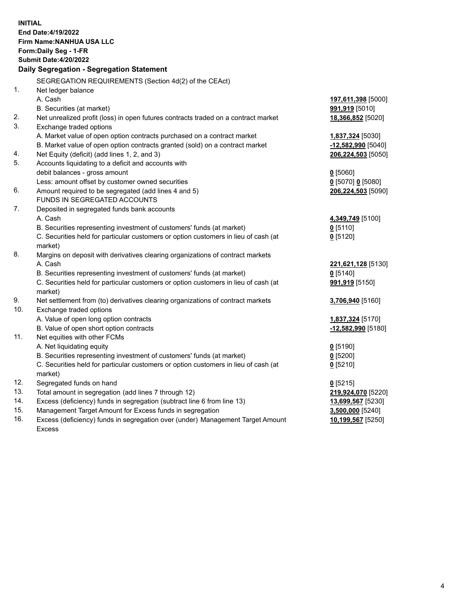**INITIAL End Date:4/19/2022 Firm Name:NANHUA USA LLC Form:Daily Seg - 1-FR Submit Date:4/20/2022 Daily Segregation - Segregation Statement** SEGREGATION REQUIREMENTS (Section 4d(2) of the CEAct) 1. Net ledger balance A. Cash **197,611,398** [5000] B. Securities (at market) **991,919** [5010] 2. Net unrealized profit (loss) in open futures contracts traded on a contract market **18,366,852** [5020] 3. Exchange traded options A. Market value of open option contracts purchased on a contract market **1,837,324** [5030] B. Market value of open option contracts granted (sold) on a contract market **-12,582,990** [5040] 4. Net Equity (deficit) (add lines 1, 2, and 3) **206,224,503** [5050] 5. Accounts liquidating to a deficit and accounts with debit balances - gross amount **0** [5060] Less: amount offset by customer owned securities **0** [5070] **0** [5080] 6. Amount required to be segregated (add lines 4 and 5) **206,224,503** [5090] FUNDS IN SEGREGATED ACCOUNTS 7. Deposited in segregated funds bank accounts A. Cash **4,349,749** [5100] B. Securities representing investment of customers' funds (at market) **0** [5110] C. Securities held for particular customers or option customers in lieu of cash (at market) **0** [5120] 8. Margins on deposit with derivatives clearing organizations of contract markets A. Cash **221,621,128** [5130] B. Securities representing investment of customers' funds (at market) **0** [5140] C. Securities held for particular customers or option customers in lieu of cash (at market) **991,919** [5150] 9. Net settlement from (to) derivatives clearing organizations of contract markets **3,706,940** [5160] 10. Exchange traded options A. Value of open long option contracts **1,837,324** [5170] B. Value of open short option contracts **-12,582,990** [5180] 11. Net equities with other FCMs A. Net liquidating equity **0** [5190] B. Securities representing investment of customers' funds (at market) **0** [5200] C. Securities held for particular customers or option customers in lieu of cash (at market) **0** [5210] 12. Segregated funds on hand **0** [5215] 13. Total amount in segregation (add lines 7 through 12) **219,924,070** [5220] 14. Excess (deficiency) funds in segregation (subtract line 6 from line 13) **13,699,567** [5230] 15. Management Target Amount for Excess funds in segregation **3,500,000** [5240] 16. Excess (deficiency) funds in segregation over (under) Management Target Amount Excess **10,199,567** [5250]